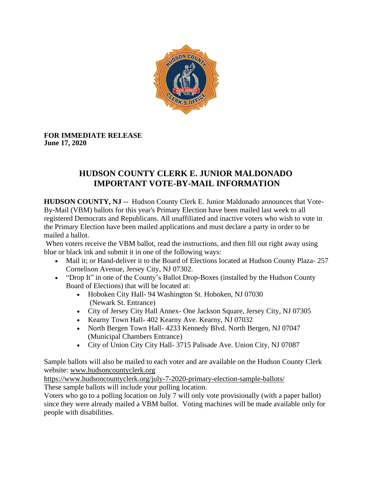

**FOR IMMEDIATE RELEASE June 17, 2020**

## **HUDSON COUNTY CLERK E. JUNIOR MALDONADO IMPORTANT VOTE-BY-MAIL INFORMATION**

**HUDSON COUNTY, NJ** -- Hudson County Clerk E. Junior Maldonado announces that Vote-By-Mail (VBM) ballots for this year's Primary Election have been mailed last week to all registered Democrats and Republicans. All unaffiliated and inactive voters who wish to vote in the Primary Election have been mailed applications and must declare a party in order to be mailed a ballot.

When voters receive the VBM ballot, read the instructions, and then fill out right away using blue or black ink and submit it in one of the following ways:

- Mail it; or Hand-deliver it to the Board of Elections located at Hudson County Plaza- 257 Cornelison Avenue, Jersey City, NJ 07302.
- "Drop It" in one of the County's Ballot Drop-Boxes (installed by the Hudson County Board of Elections) that will be located at:
	- Hoboken City Hall- 94 Washington St. Hoboken, NJ 07030 (Newark St. Entrance)
	- City of Jersey City Hall Annex- One Jackson Square, Jersey City, NJ 07305
	- Kearny Town Hall- 402 Kearny Ave. Kearny, NJ 07032
	- North Bergen Town Hall- 4233 Kennedy Blvd. North Bergen, NJ 07047 (Municipal Chambers Entrance)
	- City of Union City City Hall- 3715 Palisade Ave. Union City, NJ 07087

Sample ballots will also be mailed to each voter and are available on the Hudson County Clerk website: [www.hudsoncountyclerk.org](http://www.hudsoncountyclerk.org/)

<https://www.hudsoncountyclerk.org/july-7-2020-primary-election-sample-ballots/> These sample ballots will include your polling location.

Voters who go to a polling location on July 7 will only vote provisionally (with a paper ballot) since they were already mailed a VBM ballot. Voting machines will be made available only for people with disabilities.